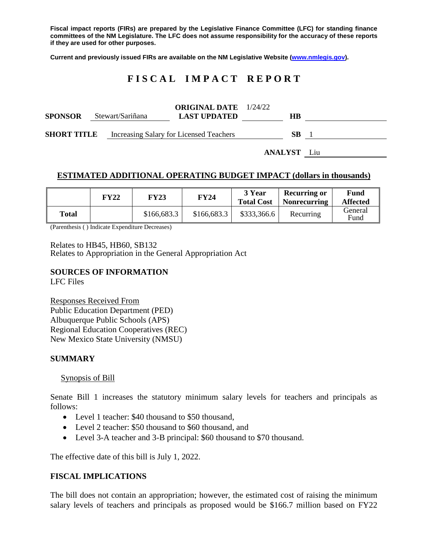**Fiscal impact reports (FIRs) are prepared by the Legislative Finance Committee (LFC) for standing finance committees of the NM Legislature. The LFC does not assume responsibility for the accuracy of these reports if they are used for other purposes.**

**Current and previously issued FIRs are available on the NM Legislative Website [\(www.nmlegis.gov\)](http://www.nmlegis.gov/).**

# **F I S C A L I M P A C T R E P O R T**

| <b>SPONSOR</b>     | Stewart/Sariñana | <b>ORIGINAL DATE</b> 1/24/22<br><b>LAST UPDATED</b> | HВ  |  |
|--------------------|------------------|-----------------------------------------------------|-----|--|
| <b>SHORT TITLE</b> |                  | Increasing Salary for Licensed Teachers             | SB. |  |

**ANALYST** Liu

#### **ESTIMATED ADDITIONAL OPERATING BUDGET IMPACT (dollars in thousands)**

|              | FY22 | FY23        | <b>FY24</b> | 3 Year<br><b>Total Cost</b> | <b>Recurring or</b><br><b>Nonrecurring</b> | Fund<br><b>Affected</b> |
|--------------|------|-------------|-------------|-----------------------------|--------------------------------------------|-------------------------|
| <b>Total</b> |      | \$166,683.3 | \$166,683.3 | \$333,366.6                 | Recurring                                  | General<br>Fund         |

(Parenthesis ( ) Indicate Expenditure Decreases)

Relates to HB45, HB60, SB132

Relates to Appropriation in the General Appropriation Act

## **SOURCES OF INFORMATION**

LFC Files

Responses Received From Public Education Department (PED) Albuquerque Public Schools (APS) Regional Education Cooperatives (REC) New Mexico State University (NMSU)

#### **SUMMARY**

Synopsis of Bill

Senate Bill 1 increases the statutory minimum salary levels for teachers and principals as follows:

- Level 1 teacher: \$40 thousand to \$50 thousand,
- Level 2 teacher: \$50 thousand to \$60 thousand, and
- Level 3-A teacher and 3-B principal: \$60 thousand to \$70 thousand.

The effective date of this bill is July 1, 2022.

## **FISCAL IMPLICATIONS**

The bill does not contain an appropriation; however, the estimated cost of raising the minimum salary levels of teachers and principals as proposed would be \$166.7 million based on FY22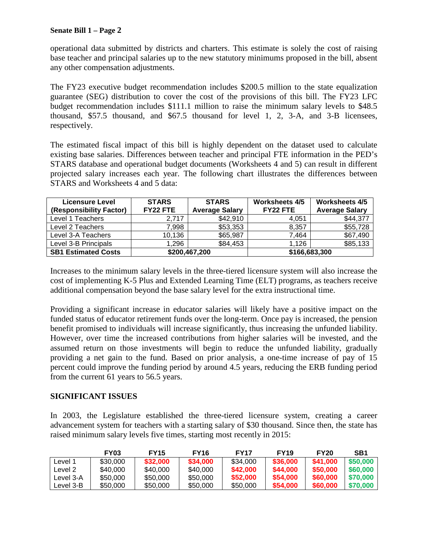operational data submitted by districts and charters. This estimate is solely the cost of raising base teacher and principal salaries up to the new statutory minimums proposed in the bill, absent any other compensation adjustments.

The FY23 executive budget recommendation includes \$200.5 million to the state equalization guarantee (SEG) distribution to cover the cost of the provisions of this bill. The FY23 LFC budget recommendation includes \$111.1 million to raise the minimum salary levels to \$48.5 thousand, \$57.5 thousand, and \$67.5 thousand for level 1, 2, 3-A, and 3-B licensees, respectively.

The estimated fiscal impact of this bill is highly dependent on the dataset used to calculate existing base salaries. Differences between teacher and principal FTE information in the PED's STARS database and operational budget documents (Worksheets 4 and 5) can result in different projected salary increases each year. The following chart illustrates the differences between STARS and Worksheets 4 and 5 data:

| <b>Licensure Level</b>     | <b>STARS</b> | <b>STARS</b>          | <b>Worksheets 4/5</b> | <b>Worksheets 4/5</b> |
|----------------------------|--------------|-----------------------|-----------------------|-----------------------|
| (Responsibility Factor)    | FY22 FTE     | <b>Average Salary</b> | FY22 FTE              | <b>Average Salary</b> |
| Level 1 Teachers           | 2.717        | \$42,910              | 4.051                 | \$44,377              |
| Level 2 Teachers           | 7,998        | \$53,353              | 8,357                 | \$55,728              |
| Level 3-A Teachers         | 10,136       | \$65,987              | 7,464                 | \$67,490              |
| Level 3-B Principals       | 1,296        | \$84,453              | 1.126                 | \$85,133              |
| <b>SB1 Estimated Costs</b> |              | \$200,467,200         | \$166,683,300         |                       |

Increases to the minimum salary levels in the three-tiered licensure system will also increase the cost of implementing K-5 Plus and Extended Learning Time (ELT) programs, as teachers receive additional compensation beyond the base salary level for the extra instructional time.

Providing a significant increase in educator salaries will likely have a positive impact on the funded status of educator retirement funds over the long-term. Once pay is increased, the pension benefit promised to individuals will increase significantly, thus increasing the unfunded liability. However, over time the increased contributions from higher salaries will be invested, and the assumed return on those investments will begin to reduce the unfunded liability, gradually providing a net gain to the fund. Based on prior analysis, a one-time increase of pay of 15 percent could improve the funding period by around 4.5 years, reducing the ERB funding period from the current 61 years to 56.5 years.

## **SIGNIFICANT ISSUES**

In 2003, the Legislature established the three-tiered licensure system, creating a career advancement system for teachers with a starting salary of \$30 thousand. Since then, the state has raised minimum salary levels five times, starting most recently in 2015:

|           | <b>FY03</b> | <b>FY15</b> | <b>FY16</b> | <b>FY17</b> | <b>FY19</b> | <b>FY20</b> | SB1      |
|-----------|-------------|-------------|-------------|-------------|-------------|-------------|----------|
| Level 1   | \$30,000    | \$32,000    | \$34,000    | \$34,000    | \$36,000    | \$41,000    | \$50,000 |
| _evel 2   | \$40,000    | \$40,000    | \$40,000    | \$42,000    | \$44,000    | \$50,000    | \$60,000 |
| Level 3-A | \$50,000    | \$50,000    | \$50,000    | \$52,000    | \$54,000    | \$60,000    | \$70,000 |
| Level 3-B | \$50,000    | \$50,000    | \$50,000    | \$50,000    | \$54,000    | \$60,000    | \$70,000 |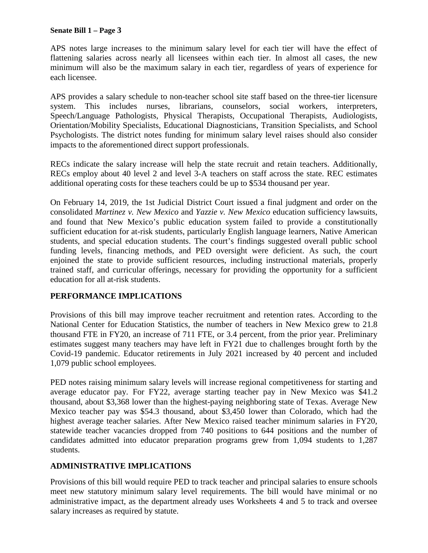#### **Senate Bill 1 – Page 3**

APS notes large increases to the minimum salary level for each tier will have the effect of flattening salaries across nearly all licensees within each tier. In almost all cases, the new minimum will also be the maximum salary in each tier, regardless of years of experience for each licensee.

APS provides a salary schedule to non-teacher school site staff based on the three-tier licensure system. This includes nurses, librarians, counselors, social workers, interpreters, Speech/Language Pathologists, Physical Therapists, Occupational Therapists, Audiologists, Orientation/Mobility Specialists, Educational Diagnosticians, Transition Specialists, and School Psychologists. The district notes funding for minimum salary level raises should also consider impacts to the aforementioned direct support professionals.

RECs indicate the salary increase will help the state recruit and retain teachers. Additionally, RECs employ about 40 level 2 and level 3-A teachers on staff across the state. REC estimates additional operating costs for these teachers could be up to \$534 thousand per year.

On February 14, 2019, the 1st Judicial District Court issued a final judgment and order on the consolidated *Martinez v. New Mexico* and *Yazzie v. New Mexico* education sufficiency lawsuits, and found that New Mexico's public education system failed to provide a constitutionally sufficient education for at-risk students, particularly English language learners, Native American students, and special education students. The court's findings suggested overall public school funding levels, financing methods, and PED oversight were deficient. As such, the court enjoined the state to provide sufficient resources, including instructional materials, properly trained staff, and curricular offerings, necessary for providing the opportunity for a sufficient education for all at-risk students.

## **PERFORMANCE IMPLICATIONS**

Provisions of this bill may improve teacher recruitment and retention rates. According to the National Center for Education Statistics, the number of teachers in New Mexico grew to 21.8 thousand FTE in FY20, an increase of 711 FTE, or 3.4 percent, from the prior year. Preliminary estimates suggest many teachers may have left in FY21 due to challenges brought forth by the Covid-19 pandemic. Educator retirements in July 2021 increased by 40 percent and included 1,079 public school employees.

PED notes raising minimum salary levels will increase regional competitiveness for starting and average educator pay. For FY22, average starting teacher pay in New Mexico was \$41.2 thousand, about \$3,368 lower than the highest-paying neighboring state of Texas. Average New Mexico teacher pay was \$54.3 thousand, about \$3,450 lower than Colorado, which had the highest average teacher salaries. After New Mexico raised teacher minimum salaries in FY20, statewide teacher vacancies dropped from 740 positions to 644 positions and the number of candidates admitted into educator preparation programs grew from 1,094 students to 1,287 students.

## **ADMINISTRATIVE IMPLICATIONS**

Provisions of this bill would require PED to track teacher and principal salaries to ensure schools meet new statutory minimum salary level requirements. The bill would have minimal or no administrative impact, as the department already uses Worksheets 4 and 5 to track and oversee salary increases as required by statute.